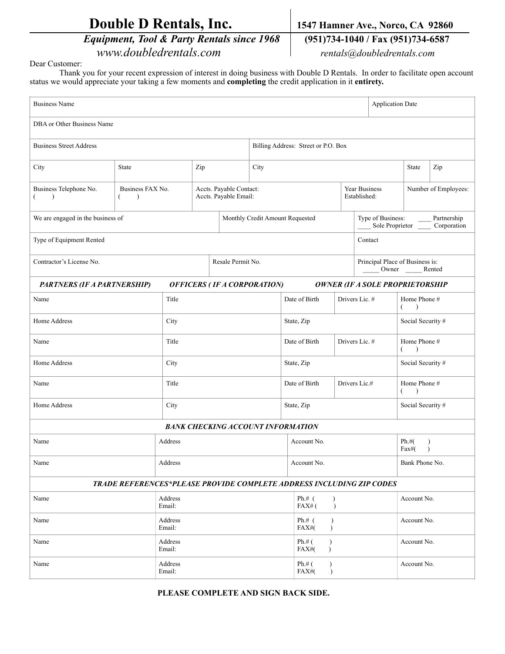| <b>Double D Rentals, Inc.</b> |  |
|-------------------------------|--|
|-------------------------------|--|

 *Equipment, Tool & Party Rentals since 1968* **(951)734-1040 / Fax (951)734-6587** *www.doubledrentals.com rentals@doubledrentals.com*

1547 Hamner Ave., Norco, CA 92860

Dear Customer:

 Thank you for your recent expression of interest in doing business with Double D Rentals. In order to facilitate open account status we would appreciate your taking a few moments and **completing** the credit application in it **entirety.**

| <b>Business Name</b><br><b>Application Date</b>                                                             |                                        |                                                  |                                                                                                         |                                     |                                                    |                                |                |                                                              |             |                                    |     |
|-------------------------------------------------------------------------------------------------------------|----------------------------------------|--------------------------------------------------|---------------------------------------------------------------------------------------------------------|-------------------------------------|----------------------------------------------------|--------------------------------|----------------|--------------------------------------------------------------|-------------|------------------------------------|-----|
| DBA or Other Business Name                                                                                  |                                        |                                                  |                                                                                                         |                                     |                                                    |                                |                |                                                              |             |                                    |     |
| <b>Business Street Address</b>                                                                              |                                        |                                                  |                                                                                                         | Billing Address: Street or P.O. Box |                                                    |                                |                |                                                              |             |                                    |     |
| City                                                                                                        | State                                  | Zip                                              |                                                                                                         |                                     | City                                               |                                |                |                                                              |             | State                              | Zip |
| Business Telephone No.<br>←<br>$\lambda$                                                                    | Business FAX No.<br>€<br>$\rightarrow$ | Accts. Payable Contact:<br>Accts. Payable Email: |                                                                                                         |                                     |                                                    | Year Business<br>Established:  |                |                                                              |             | Number of Employees:               |     |
| We are engaged in the business of                                                                           |                                        |                                                  | Type of Business: Partnership<br>Sole Proprietor _______ Corporation<br>Monthly Credit Amount Requested |                                     |                                                    |                                |                |                                                              |             |                                    |     |
| Type of Equipment Rented                                                                                    |                                        |                                                  |                                                                                                         |                                     | Contact                                            |                                |                |                                                              |             |                                    |     |
| Contractor's License No.                                                                                    |                                        |                                                  |                                                                                                         | Resale Permit No.                   |                                                    |                                |                | Principal Place of Business is:<br>_____ Owner ______ Rented |             |                                    |     |
| <b>OFFICERS (IF A CORPORATION)</b><br><b>OWNER (IF A SOLE PROPRIETORSHIP</b><br>PARTNERS (IF A PARTNERSHIP) |                                        |                                                  |                                                                                                         |                                     |                                                    |                                |                |                                                              |             |                                    |     |
| Name                                                                                                        |                                        | Date of Birth<br>Title                           |                                                                                                         |                                     |                                                    | Drivers Lic. #                 |                | Home Phone #<br>€<br>$\lambda$                               |             |                                    |     |
| Home Address                                                                                                |                                        | City                                             |                                                                                                         |                                     |                                                    | State, Zip                     |                |                                                              |             | Social Security #                  |     |
| Name                                                                                                        |                                        | Title                                            |                                                                                                         |                                     |                                                    | Date of Birth                  | Drivers Lic. # |                                                              |             | Home Phone #<br>$\rightarrow$<br>€ |     |
| Home Address                                                                                                |                                        | City                                             |                                                                                                         |                                     |                                                    | State, Zip                     |                |                                                              |             | Social Security #                  |     |
| Name                                                                                                        |                                        | Title                                            |                                                                                                         |                                     |                                                    | Date of Birth                  | Drivers Lic.#  |                                                              |             | Home Phone #<br>$\rightarrow$<br>€ |     |
| Home Address                                                                                                |                                        | City                                             |                                                                                                         |                                     |                                                    | State, Zip                     |                |                                                              |             | Social Security #                  |     |
| <b>BANK CHECKING ACCOUNT INFORMATION</b>                                                                    |                                        |                                                  |                                                                                                         |                                     |                                                    |                                |                |                                                              |             |                                    |     |
| Name                                                                                                        |                                        | Address                                          |                                                                                                         |                                     |                                                    | Account No.                    |                |                                                              |             | Ph.#(<br>Fax#(<br>$\lambda$        |     |
| Name                                                                                                        |                                        | Address                                          |                                                                                                         |                                     |                                                    | Account No.                    |                |                                                              |             | Bank Phone No.                     |     |
| TRADE REFERENCES*PLEASE PROVIDE COMPLETE ADDRESS INCLUDING ZIP CODES                                        |                                        |                                                  |                                                                                                         |                                     |                                                    |                                |                |                                                              |             |                                    |     |
| Name                                                                                                        | Address<br>Email:                      |                                                  |                                                                                                         |                                     | Ph.# $($<br>$\mathcal{E}$<br>$FAX#$ (<br>$\lambda$ |                                |                |                                                              | Account No. |                                    |     |
| Name                                                                                                        |                                        | Address<br>Email:                                |                                                                                                         |                                     |                                                    | Ph.# $($<br>FAX#(<br>$\lambda$ |                |                                                              |             | Account No.                        |     |
| Name                                                                                                        |                                        | Address<br>Email:                                |                                                                                                         |                                     |                                                    | Ph.#(<br>FAX#(<br>$\lambda$    |                |                                                              |             | Account No.                        |     |
| Name                                                                                                        |                                        | Address<br>Email:                                |                                                                                                         |                                     |                                                    | Ph.#(<br>$\lambda$<br>FAX#(    |                |                                                              |             | Account No.                        |     |

 **PLEASE COMPLETE AND SIGN BACK SIDE.**